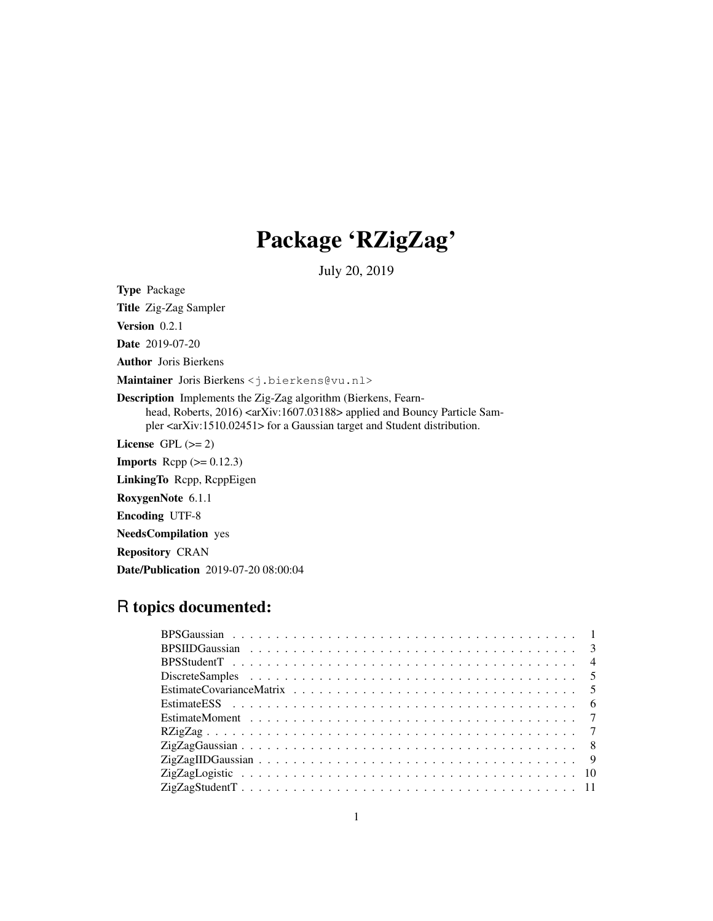## Package 'RZigZag'

July 20, 2019

Type Package

Title Zig-Zag Sampler Version 0.2.1 Date 2019-07-20 Author Joris Bierkens Maintainer Joris Bierkens <j.bierkens@vu.nl> Description Implements the Zig-Zag algorithm (Bierkens, Fearnhead, Roberts, 2016) <arXiv:1607.03188> applied and Bouncy Particle Sampler <arXiv:1510.02451> for a Gaussian target and Student distribution. License GPL  $(>= 2)$ **Imports** Rcpp  $(>= 0.12.3)$ LinkingTo Rcpp, RcppEigen RoxygenNote 6.1.1 Encoding UTF-8 NeedsCompilation yes Repository CRAN

# R topics documented:

Date/Publication 2019-07-20 08:00:04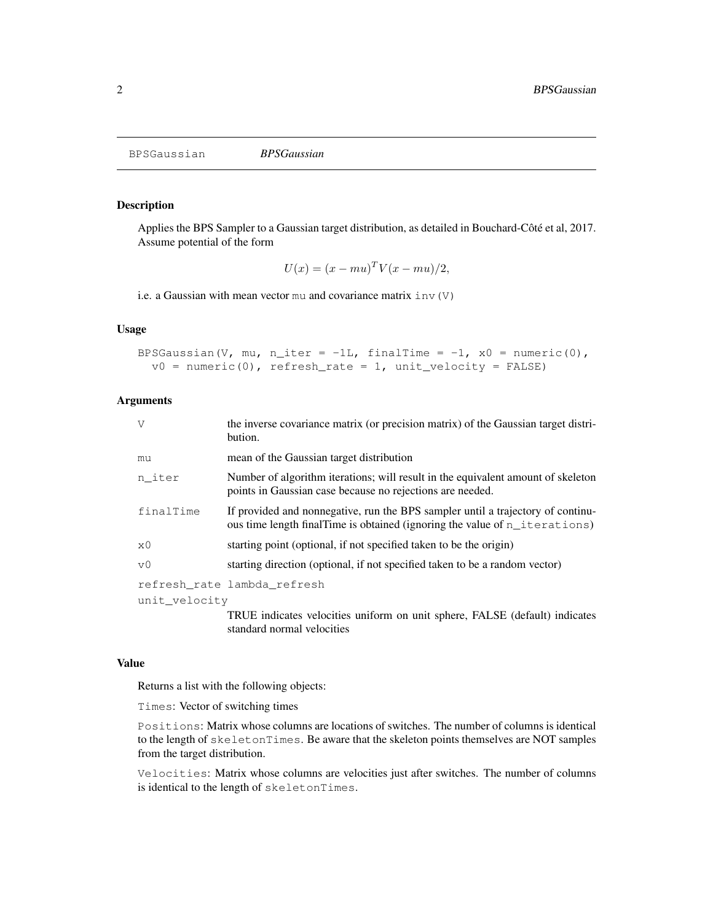BPSGaussian *BPSGaussian*

## Description

Applies the BPS Sampler to a Gaussian target distribution, as detailed in Bouchard-Côté et al, 2017. Assume potential of the form

$$
U(x) = (x - mu)^T V(x - mu)/2,
$$

i.e. a Gaussian with mean vector  $mu$  and covariance matrix  $inv(V)$ 

## Usage

```
BPSGaussian(V, mu, n_iter = -1L, finalTime = -1, x0 = numeric(0),
  v0 = numeric(0), refresh_rate = 1, unit_velocity = FALSE)
```
#### Arguments

| V              | the inverse covariance matrix (or precision matrix) of the Gaussian target distri-<br>bution.                                                                  |
|----------------|----------------------------------------------------------------------------------------------------------------------------------------------------------------|
| mu             | mean of the Gaussian target distribution                                                                                                                       |
| n iter         | Number of algorithm iterations; will result in the equivalent amount of skeleton<br>points in Gaussian case because no rejections are needed.                  |
| finalTime      | If provided and nonnegative, run the BPS sampler until a trajectory of continu-<br>ous time length final Time is obtained (ignoring the value of n_iterations) |
| x0             | starting point (optional, if not specified taken to be the origin)                                                                                             |
| v <sub>0</sub> | starting direction (optional, if not specified taken to be a random vector)                                                                                    |
|                | refresh rate lambda refresh                                                                                                                                    |
| unit velocity  |                                                                                                                                                                |
|                | TRUE indicates velocities uniform on unit sphere. FALSE (default) indicates                                                                                    |

TRUE indicates velocities uniform on unit sphere, FALSE (default) indicates standard normal velocities

#### Value

Returns a list with the following objects:

Times: Vector of switching times

Positions: Matrix whose columns are locations of switches. The number of columns is identical to the length of skeletonTimes. Be aware that the skeleton points themselves are NOT samples from the target distribution.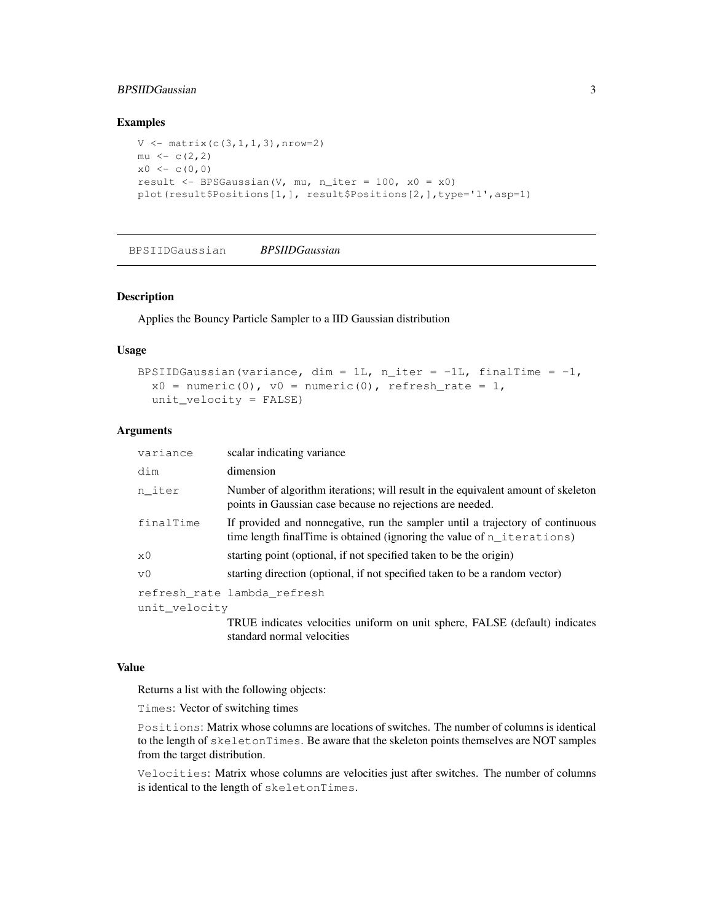## BPSIIDGaussian 3

#### Examples

```
V \leftarrow \text{matrix}(c(3,1,1,3), nrow=2)mu \leftarrow c(2, 2)x0 \leq -c(0,0)result <- BPSGaussian(V, mu, n_iter = 100, x0 = x0)
plot(result$Positions[1,], result$Positions[2,],type='l',asp=1)
```
BPSIIDGaussian *BPSIIDGaussian*

#### Description

Applies the Bouncy Particle Sampler to a IID Gaussian distribution

#### Usage

```
BPSIIDGaussian(variance, dim = 1L, n_iter = -1L, finalTime = -1,
  x0 = numeric(0), v0 = numeric(0), refresh_rate = 1,
  unit_velocity = FALSE)
```
## Arguments

| variance      | scalar indicating variance                                                                                                                                 |
|---------------|------------------------------------------------------------------------------------------------------------------------------------------------------------|
| dim           | dimension                                                                                                                                                  |
| n iter        | Number of algorithm iterations; will result in the equivalent amount of skeleton<br>points in Gaussian case because no rejections are needed.              |
| finalTime     | If provided and nonnegative, run the sampler until a trajectory of continuous<br>time length final Time is obtained (ignoring the value of $n$ iterations) |
| хO            | starting point (optional, if not specified taken to be the origin)                                                                                         |
| v0            | starting direction (optional, if not specified taken to be a random vector)                                                                                |
|               | refresh rate lambda refresh                                                                                                                                |
| unit velocity |                                                                                                                                                            |
|               | TRUE indicates velocities uniform on unit sphere, FALSE (default) indicates                                                                                |

#### Value

Returns a list with the following objects:

standard normal velocities

Times: Vector of switching times

Positions: Matrix whose columns are locations of switches. The number of columns is identical to the length of skeletonTimes. Be aware that the skeleton points themselves are NOT samples from the target distribution.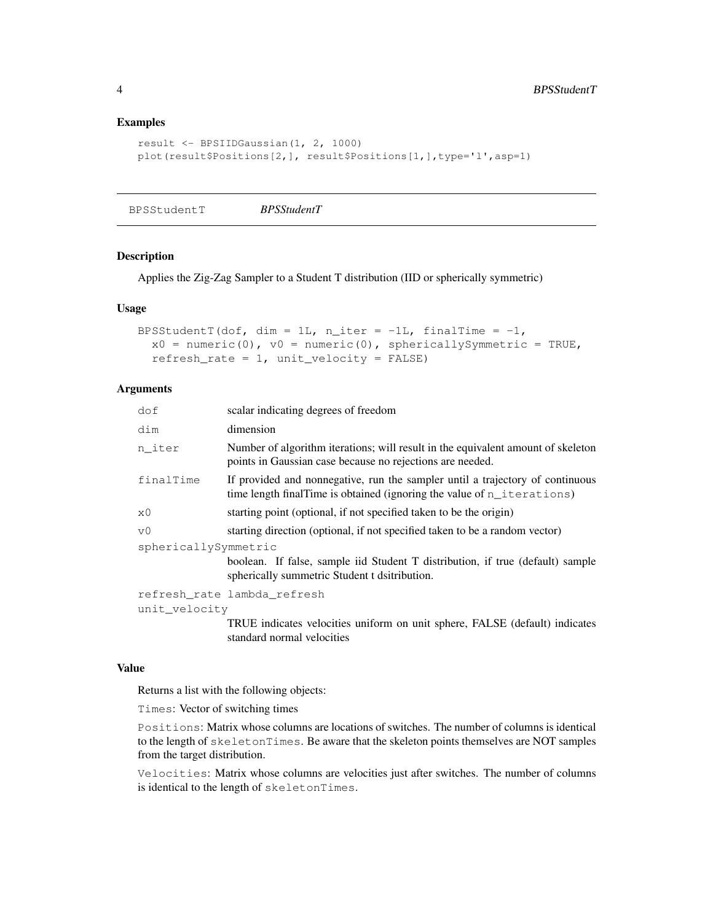## Examples

```
result <- BPSIIDGaussian(1, 2, 1000)
plot(result$Positions[2,], result$Positions[1,],type='l',asp=1)
```
BPSStudentT *BPSStudentT*

## Description

Applies the Zig-Zag Sampler to a Student T distribution (IID or spherically symmetric)

## Usage

```
BPSStudentT(dof, dim = 1L, n_iter = -1L, finalTime = -1,
  x0 = numeric(0), v0 = numeric(0), sphericallySymmetric = TRUE,
  refresh_rate = 1, unit_velocity = FALSE)
```
#### **Arguments**

| dof                  | scalar indicating degrees of freedom                                                                                                                       |  |
|----------------------|------------------------------------------------------------------------------------------------------------------------------------------------------------|--|
| dim                  | dimension                                                                                                                                                  |  |
| n_iter               | Number of algorithm iterations; will result in the equivalent amount of skeleton<br>points in Gaussian case because no rejections are needed.              |  |
| finalTime            | If provided and nonnegative, run the sampler until a trajectory of continuous<br>time length final Time is obtained (ignoring the value of $n$ iterations) |  |
| x0                   | starting point (optional, if not specified taken to be the origin)                                                                                         |  |
| V <sub>0</sub>       | starting direction (optional, if not specified taken to be a random vector)                                                                                |  |
| sphericallySymmetric |                                                                                                                                                            |  |
|                      | boolean. If false, sample iid Student T distribution, if true (default) sample<br>spherically summetric Student t dsitribution.                            |  |
|                      | refresh rate lambda refresh                                                                                                                                |  |
| unit velocity        |                                                                                                                                                            |  |
|                      | TRUE indicates velocities uniform on unit sphere, FALSE (default) indicates                                                                                |  |

#### Value

Returns a list with the following objects:

standard normal velocities

Times: Vector of switching times

Positions: Matrix whose columns are locations of switches. The number of columns is identical to the length of skeletonTimes. Be aware that the skeleton points themselves are NOT samples from the target distribution.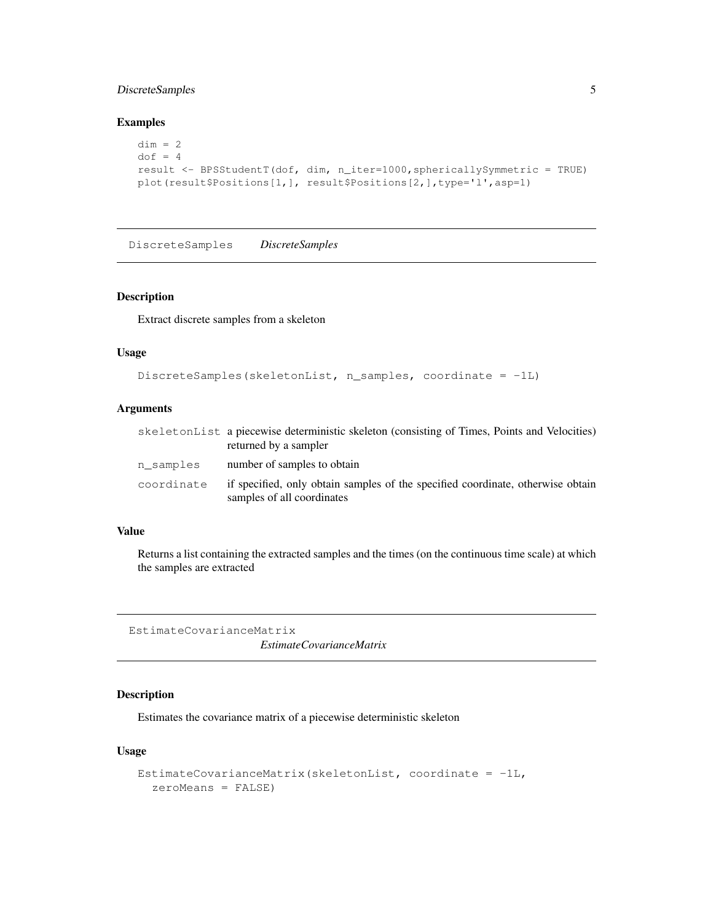## DiscreteSamples 5

## Examples

```
dim = 2dof = 4result <- BPSStudentT(dof, dim, n_iter=1000,sphericallySymmetric = TRUE)
plot(result$Positions[1,], result$Positions[2,],type='l',asp=1)
```
DiscreteSamples *DiscreteSamples*

#### Description

Extract discrete samples from a skeleton

## Usage

```
DiscreteSamples(skeletonList, n_samples, coordinate = -1L)
```
## Arguments

|            | skeletonList a piecewise deterministic skeleton (consisting of Times, Points and Velocities)<br>returned by a sampler |
|------------|-----------------------------------------------------------------------------------------------------------------------|
| n samples  | number of samples to obtain                                                                                           |
| coordinate | if specified, only obtain samples of the specified coordinate, otherwise obtain<br>samples of all coordinates         |

## Value

Returns a list containing the extracted samples and the times (on the continuous time scale) at which the samples are extracted

EstimateCovarianceMatrix

*EstimateCovarianceMatrix*

## Description

Estimates the covariance matrix of a piecewise deterministic skeleton

## Usage

```
EstimateCovarianceMatrix(skeletonList, coordinate = -1L,
  zeroMeans = FALSE)
```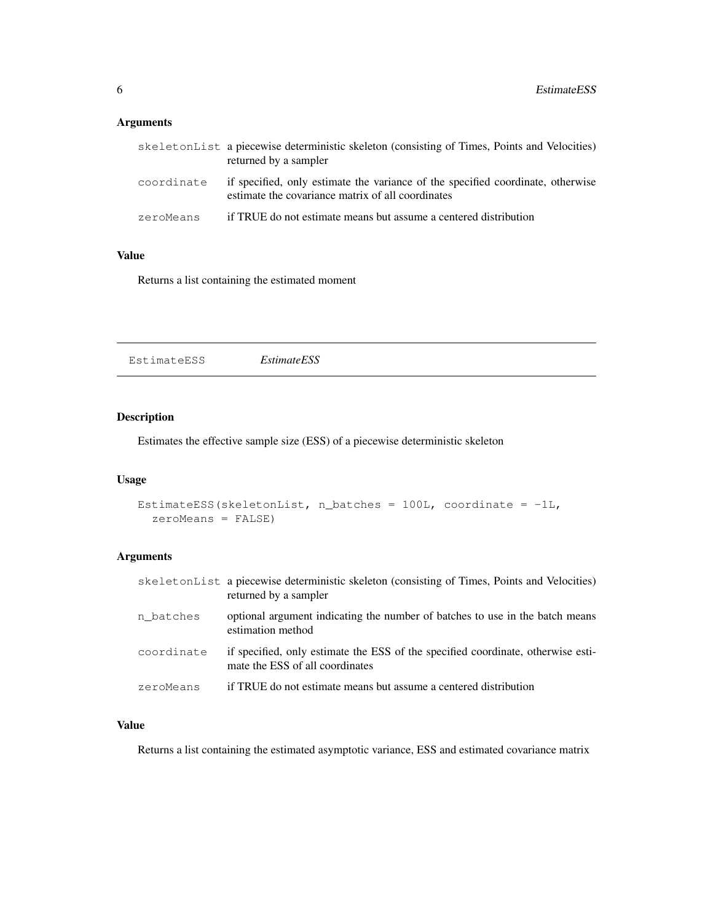## Arguments

|            | skeletonList a piecewise deterministic skeleton (consisting of Times, Points and Velocities)<br>returned by a sampler                |
|------------|--------------------------------------------------------------------------------------------------------------------------------------|
| coordinate | if specified, only estimate the variance of the specified coordinate, otherwise<br>estimate the covariance matrix of all coordinates |
| zeroMeans  | if TRUE do not estimate means but assume a centered distribution                                                                     |

## Value

Returns a list containing the estimated moment

EstimateESS *EstimateESS*

## Description

Estimates the effective sample size (ESS) of a piecewise deterministic skeleton

## Usage

```
EstimateESS(skeletonList, n_batches = 100L, coordinate = -1L,
  zeroMeans = FALSE)
```
## Arguments

|            | skeletonList a piecewise deterministic skeleton (consisting of Times, Points and Velocities)<br>returned by a sampler |
|------------|-----------------------------------------------------------------------------------------------------------------------|
| n batches  | optional argument indicating the number of batches to use in the batch means<br>estimation method                     |
| coordinate | if specified, only estimate the ESS of the specified coordinate, otherwise esti-<br>mate the ESS of all coordinates   |
| zeroMeans  | if TRUE do not estimate means but assume a centered distribution                                                      |

## Value

Returns a list containing the estimated asymptotic variance, ESS and estimated covariance matrix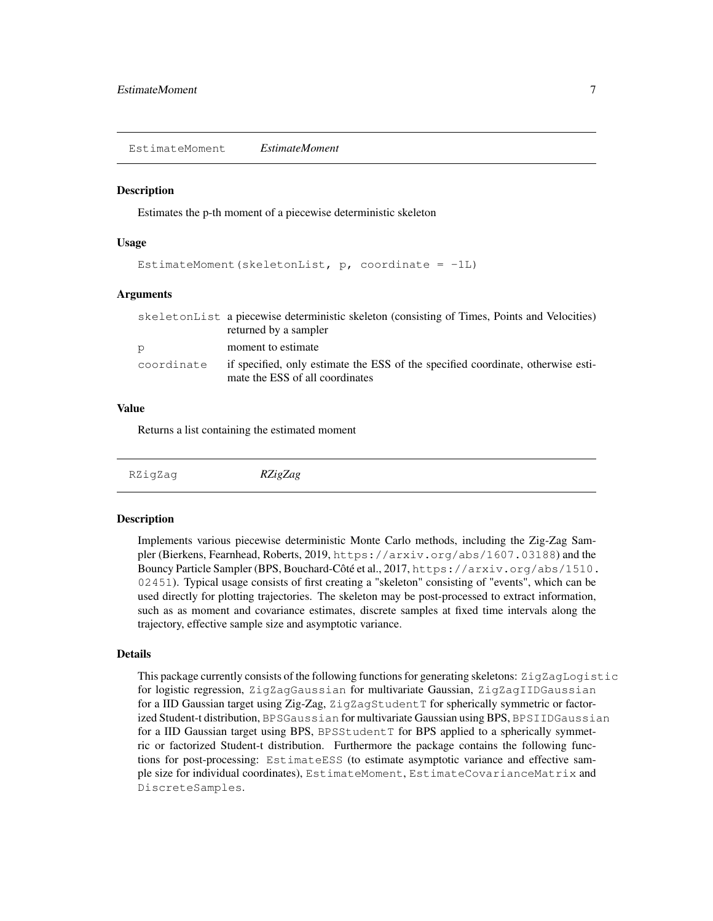EstimateMoment *EstimateMoment*

#### **Description**

Estimates the p-th moment of a piecewise deterministic skeleton

#### Usage

```
EstimateMoment(skeletonList, p, coordinate = -1L)
```
#### Arguments

|            | skeletonList a piecewise deterministic skeleton (consisting of Times, Points and Velocities)<br>returned by a sampler |
|------------|-----------------------------------------------------------------------------------------------------------------------|
| p          | moment to estimate                                                                                                    |
| coordinate | if specified, only estimate the ESS of the specified coordinate, otherwise esti-<br>mate the ESS of all coordinates   |

#### Value

Returns a list containing the estimated moment

RZigZag *RZigZag*

#### Description

Implements various piecewise deterministic Monte Carlo methods, including the Zig-Zag Sampler (Bierkens, Fearnhead, Roberts, 2019, https://arxiv.org/abs/1607.03188) and the Bouncy Particle Sampler (BPS, Bouchard-Côté et al., 2017, https://arxiv.org/abs/1510. 02451). Typical usage consists of first creating a "skeleton" consisting of "events", which can be used directly for plotting trajectories. The skeleton may be post-processed to extract information, such as as moment and covariance estimates, discrete samples at fixed time intervals along the trajectory, effective sample size and asymptotic variance.

#### Details

This package currently consists of the following functions for generating skeletons: ZigZagLogistic for logistic regression, ZigZagGaussian for multivariate Gaussian, ZigZagIIDGaussian for a IID Gaussian target using Zig-Zag, ZigZagStudentT for spherically symmetric or factorized Student-t distribution, BPSGaussian for multivariate Gaussian using BPS, BPSIIDGaussian for a IID Gaussian target using BPS, BPSStudentT for BPS applied to a spherically symmetric or factorized Student-t distribution. Furthermore the package contains the following functions for post-processing: EstimateESS (to estimate asymptotic variance and effective sample size for individual coordinates), EstimateMoment, EstimateCovarianceMatrix and DiscreteSamples.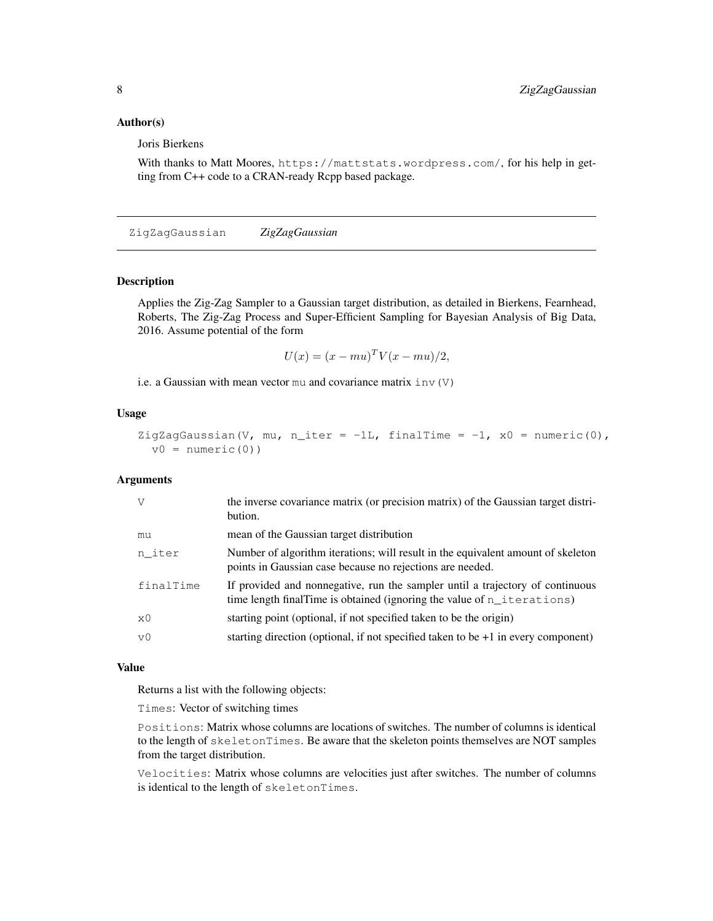## Author(s)

Joris Bierkens

With thanks to Matt Moores, https://mattstats.wordpress.com/, for his help in getting from C++ code to a CRAN-ready Rcpp based package.

ZigZagGaussian *ZigZagGaussian*

## Description

Applies the Zig-Zag Sampler to a Gaussian target distribution, as detailed in Bierkens, Fearnhead, Roberts, The Zig-Zag Process and Super-Efficient Sampling for Bayesian Analysis of Big Data, 2016. Assume potential of the form

$$
U(x) = (x - mu)^T V(x - mu)/2,
$$

i.e. a Gaussian with mean vector mu and covariance matrix  $inv(V)$ 

#### Usage

```
ZigZagGaussian(V, mu, n_iter = -1L, finalTime = -1, x0 = numeric(0),
 v0 = numeric(0)
```
## Arguments

| V          | the inverse covariance matrix (or precision matrix) of the Gaussian target distri-<br>bution.                                                              |
|------------|------------------------------------------------------------------------------------------------------------------------------------------------------------|
| mu         | mean of the Gaussian target distribution                                                                                                                   |
| n iter     | Number of algorithm iterations; will result in the equivalent amount of skeleton<br>points in Gaussian case because no rejections are needed.              |
| finalTime  | If provided and nonnegative, run the sampler until a trajectory of continuous<br>time length final Time is obtained (ignoring the value of $n$ iterations) |
| $\times 0$ | starting point (optional, if not specified taken to be the origin)                                                                                         |
| $\nabla$   | starting direction (optional, if not specified taken to be $+1$ in every component)                                                                        |

#### Value

Returns a list with the following objects:

Times: Vector of switching times

Positions: Matrix whose columns are locations of switches. The number of columns is identical to the length of skeletonTimes. Be aware that the skeleton points themselves are NOT samples from the target distribution.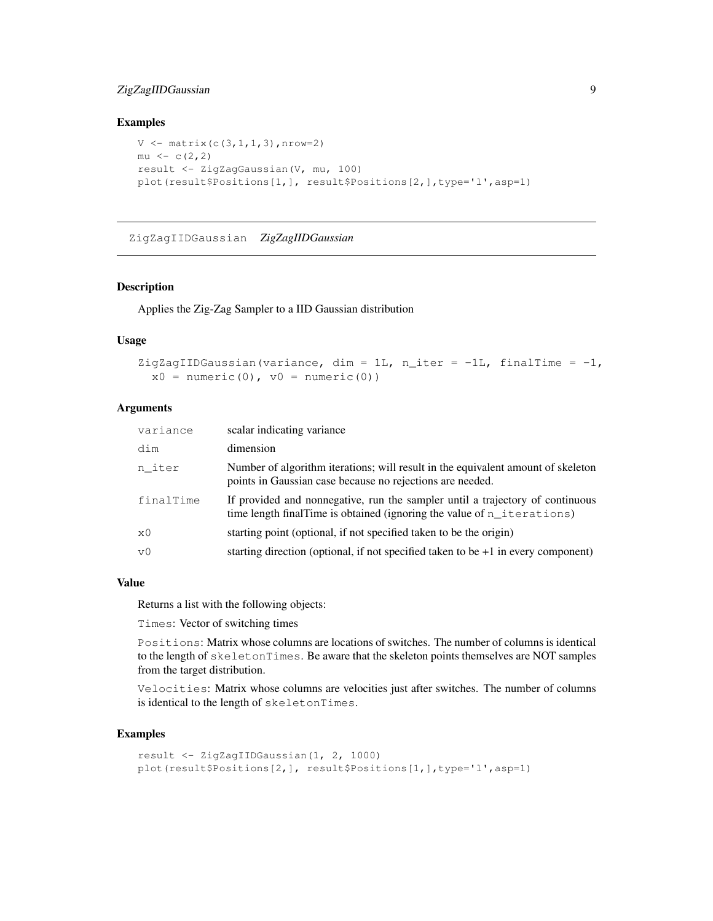## ZigZagIIDGaussian 9

### Examples

```
V \leftarrow \text{matrix}(c(3,1,1,3), nrow=2)mu \leftarrow c(2, 2)result <- ZigZagGaussian(V, mu, 100)
plot(result$Positions[1,], result$Positions[2,],type='l',asp=1)
```
ZigZagIIDGaussian *ZigZagIIDGaussian*

## Description

Applies the Zig-Zag Sampler to a IID Gaussian distribution

#### Usage

```
ZigZagIIDGaussian(variance, dim = 1L, n_iter = -1L, finalTime = -1,
 x0 = numeric(0), v0 = numeric(0))
```
## Arguments

| variance       | scalar indicating variance                                                                                                                                 |
|----------------|------------------------------------------------------------------------------------------------------------------------------------------------------------|
| dim            | dimension                                                                                                                                                  |
| n iter         | Number of algorithm iterations; will result in the equivalent amount of skeleton<br>points in Gaussian case because no rejections are needed.              |
| finalTime      | If provided and nonnegative, run the sampler until a trajectory of continuous<br>time length final Time is obtained (ignoring the value of $n$ iterations) |
| x0             | starting point (optional, if not specified taken to be the origin)                                                                                         |
| v <sub>0</sub> | starting direction (optional, if not specified taken to be $+1$ in every component)                                                                        |

## Value

Returns a list with the following objects:

Times: Vector of switching times

Positions: Matrix whose columns are locations of switches. The number of columns is identical to the length of skeletonTimes. Be aware that the skeleton points themselves are NOT samples from the target distribution.

Velocities: Matrix whose columns are velocities just after switches. The number of columns is identical to the length of skeletonTimes.

#### Examples

```
result <- ZigZagIIDGaussian(1, 2, 1000)
plot(result$Positions[2,], result$Positions[1,],type='l',asp=1)
```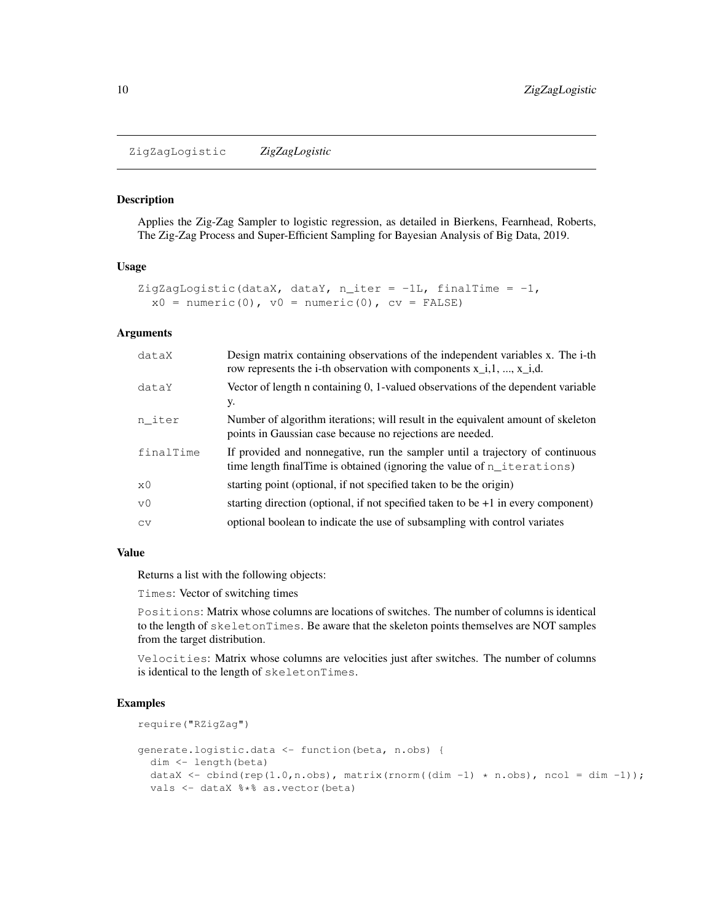ZigZagLogistic *ZigZagLogistic*

#### **Description**

Applies the Zig-Zag Sampler to logistic regression, as detailed in Bierkens, Fearnhead, Roberts, The Zig-Zag Process and Super-Efficient Sampling for Bayesian Analysis of Big Data, 2019.

#### Usage

```
ZigZagLogistic(dataX, dataY, n_iter = -1L, finalTime = -1,
  x0 = numeric(0), v0 = numeric(0), cv = FALSE)
```
## Arguments

| dataX          | Design matrix containing observations of the independent variables x. The i-th<br>row represents the i-th observation with components $x_i$ , 1, , $x_i$ , 1, d. |
|----------------|------------------------------------------------------------------------------------------------------------------------------------------------------------------|
| dataY          | Vector of length n containing 0, 1-valued observations of the dependent variable<br>у.                                                                           |
| n iter         | Number of algorithm iterations; will result in the equivalent amount of skeleton<br>points in Gaussian case because no rejections are needed.                    |
| finalTime      | If provided and nonnegative, run the sampler until a trajectory of continuous<br>time length final Time is obtained (ignoring the value of $n$ iterations)       |
| x0             | starting point (optional, if not specified taken to be the origin)                                                                                               |
| V <sub>0</sub> | starting direction (optional, if not specified taken to be $+1$ in every component)                                                                              |
| <b>CV</b>      | optional boolean to indicate the use of subsampling with control variates                                                                                        |

#### Value

Returns a list with the following objects:

Times: Vector of switching times

Positions: Matrix whose columns are locations of switches. The number of columns is identical to the length of skeletonTimes. Be aware that the skeleton points themselves are NOT samples from the target distribution.

Velocities: Matrix whose columns are velocities just after switches. The number of columns is identical to the length of skeletonTimes.

#### Examples

```
require("RZigZag")
generate.logistic.data <- function(beta, n.obs) {
  dim <- length(beta)
  dataX <- cbind(rep(1.0,n.obs), matrix(rnorm((dim -1) \star n.obs), ncol = dim -1));
  vals <- dataX %*% as.vector(beta)
```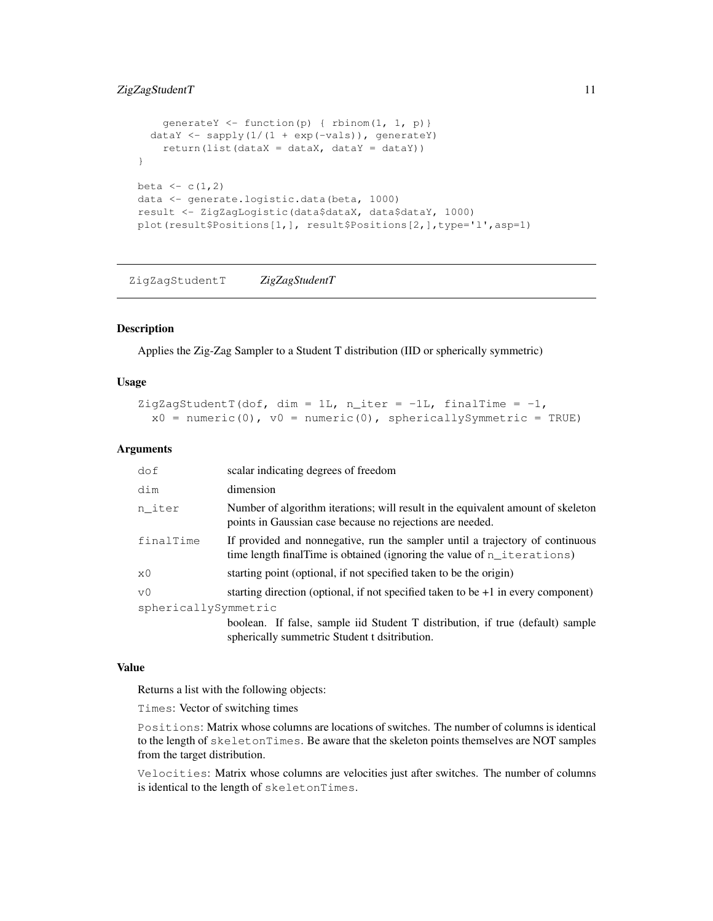## ZigZagStudentT 11

```
qenerateY \leftarrow function(p) { rbinom(1, 1, p)}
  dataY <- sapply(1/(1 + \exp(-\text{vals})), generateY)
    return(list(dataX = dataX, dataY = dataY))
}
beta <-c(1,2)data <- generate.logistic.data(beta, 1000)
result <- ZigZagLogistic(data$dataX, data$dataY, 1000)
plot(result$Positions[1,], result$Positions[2,],type='l',asp=1)
```
ZigZagStudentT *ZigZagStudentT*

#### Description

Applies the Zig-Zag Sampler to a Student T distribution (IID or spherically symmetric)

#### Usage

```
ZigZagStudentT(dof, dim = 1L, n_iter = -1L, finalTime = -1,
 x0 = numeric(0), v0 = numeric(0), sphericallySymmetric = TRUE)
```
## Arguments

| dof                  | scalar indicating degrees of freedom                                                                                                                       |
|----------------------|------------------------------------------------------------------------------------------------------------------------------------------------------------|
| dim                  | dimension                                                                                                                                                  |
| n_iter               | Number of algorithm iterations; will result in the equivalent amount of skeleton<br>points in Gaussian case because no rejections are needed.              |
| finalTime            | If provided and nonnegative, run the sampler until a trajectory of continuous<br>time length final Time is obtained (ignoring the value of $n$ iterations) |
| $\times 0$           | starting point (optional, if not specified taken to be the origin)                                                                                         |
| v0                   | starting direction (optional, if not specified taken to be $+1$ in every component)                                                                        |
| sphericallySymmetric |                                                                                                                                                            |
|                      | boolean. If false, sample iid Student T distribution, if true (default) sample<br>spherically summetric Student t dsitribution.                            |

#### Value

Returns a list with the following objects:

Times: Vector of switching times

Positions: Matrix whose columns are locations of switches. The number of columns is identical to the length of skeletonTimes. Be aware that the skeleton points themselves are NOT samples from the target distribution.